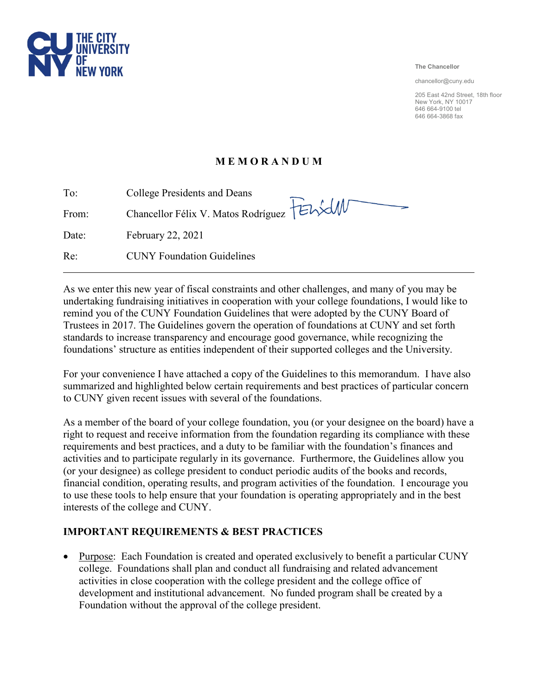

**The Chancellor**

chancellor@cuny.edu

205 East 42nd Street, 18th floor New York, NY 10017 646 664-9100 tel 646 664-3868 fax

## **M E M O R A N D U M**

| To:   | College Presidents and Deans               |
|-------|--------------------------------------------|
| From: | Chancellor Félix V. Matos Rodríguez FELIOW |
| Date: | February 22, 2021                          |
| Re:   | <b>CUNY Foundation Guidelines</b>          |

As we enter this new year of fiscal constraints and other challenges, and many of you may be undertaking fundraising initiatives in cooperation with your college foundations, I would like to remind you of the CUNY Foundation Guidelines that were adopted by the CUNY Board of Trustees in 2017. The Guidelines govern the operation of foundations at CUNY and set forth standards to increase transparency and encourage good governance, while recognizing the foundations' structure as entities independent of their supported colleges and the University.

For your convenience I have attached a copy of the Guidelines to this memorandum. I have also summarized and highlighted below certain requirements and best practices of particular concern to CUNY given recent issues with several of the foundations.

As a member of the board of your college foundation, you (or your designee on the board) have a right to request and receive information from the foundation regarding its compliance with these requirements and best practices, and a duty to be familiar with the foundation's finances and activities and to participate regularly in its governance. Furthermore, the Guidelines allow you (or your designee) as college president to conduct periodic audits of the books and records, financial condition, operating results, and program activities of the foundation. I encourage you to use these tools to help ensure that your foundation is operating appropriately and in the best interests of the college and CUNY.

## **IMPORTANT REQUIREMENTS & BEST PRACTICES**

• Purpose: Each Foundation is created and operated exclusively to benefit a particular CUNY college. Foundations shall plan and conduct all fundraising and related advancement activities in close cooperation with the college president and the college office of development and institutional advancement. No funded program shall be created by a Foundation without the approval of the college president.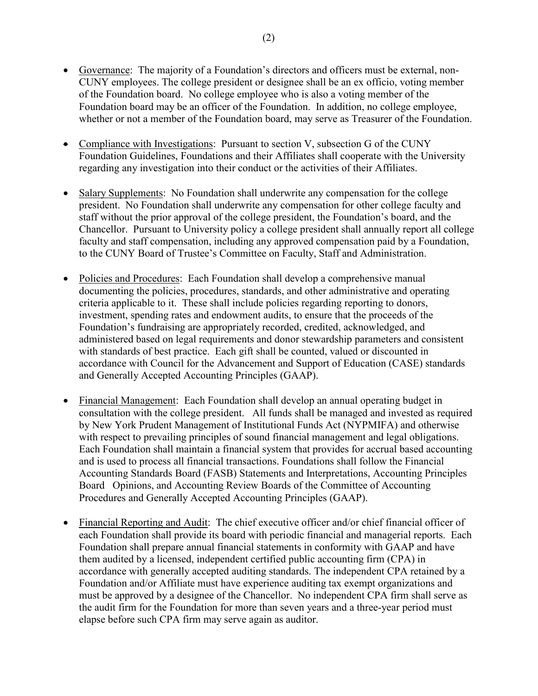- Governance: The majority of a Foundation's directors and officers must be external, non-CUNY employees. The college president or designee shall be an ex officio, voting member of the Foundation board. No college employee who is also a voting member of the Foundation board may be an officer of the Foundation. In addition, no college employee, whether or not a member of the Foundation board, may serve as Treasurer of the Foundation.
- Compliance with Investigations: Pursuant to section V, subsection G of the CUNY Foundation Guidelines, Foundations and their Affiliates shall cooperate with the University regarding any investigation into their conduct or the activities of their Affiliates.
- Salary Supplements: No Foundation shall underwrite any compensation for the college president. No Foundation shall underwrite any compensation for other college faculty and staff without the prior approval of the college president, the Foundation's board, and the Chancellor. Pursuant to University policy a college president shall annually report all college faculty and staff compensation, including any approved compensation paid by a Foundation, to the CUNY Board of Trustee's Committee on Faculty, Staff and Administration.
- Policies and Procedures: Each Foundation shall develop a comprehensive manual documenting the policies, procedures, standards, and other administrative and operating criteria applicable to it. These shall include policies regarding reporting to donors, investment, spending rates and endowment audits, to ensure that the proceeds of the Foundation's fundraising are appropriately recorded, credited, acknowledged, and administered based on legal requirements and donor stewardship parameters and consistent with standards of best practice. Each gift shall be counted, valued or discounted in accordance with Council for the Advancement and Support of Education (CASE) standards and Generally Accepted Accounting Principles (GAAP).
- Financial Management: Each Foundation shall develop an annual operating budget in consultation with the college president. All funds shall be managed and invested as required by New York Prudent Management of Institutional Funds Act (NYPMIFA) and otherwise with respect to prevailing principles of sound financial management and legal obligations. Each Foundation shall maintain a financial system that provides for accrual based accounting and is used to process all financial transactions. Foundations shall follow the Financial Accounting Standards Board (FASB) Statements and Interpretations, Accounting Principles Board Opinions, and Accounting Review Boards of the Committee of Accounting Procedures and Generally Accepted Accounting Principles (GAAP).
- Financial Reporting and Audit: The chief executive officer and/or chief financial officer of each Foundation shall provide its board with periodic financial and managerial reports. Each Foundation shall prepare annual financial statements in conformity with GAAP and have them audited by a licensed, independent certified public accounting firm (CPA) in accordance with generally accepted auditing standards. The independent CPA retained by a Foundation and/or Affiliate must have experience auditing tax exempt organizations and must be approved by a designee of the Chancellor. No independent CPA firm shall serve as the audit firm for the Foundation for more than seven years and a three-year period must elapse before such CPA firm may serve again as auditor.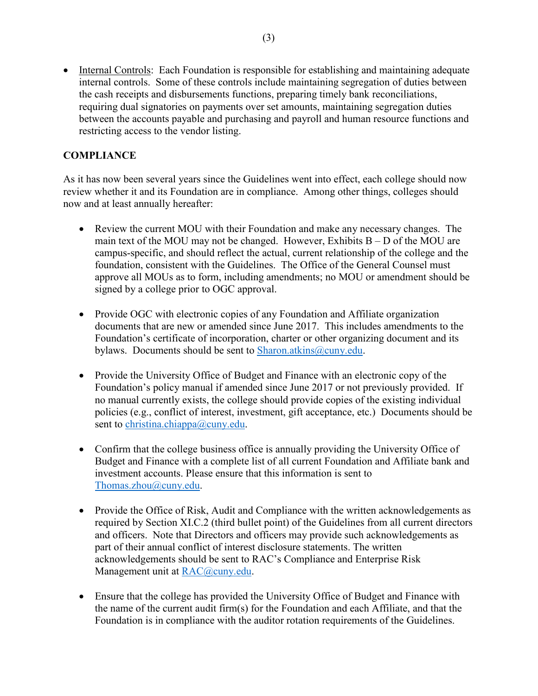• Internal Controls: Each Foundation is responsible for establishing and maintaining adequate internal controls. Some of these controls include maintaining segregation of duties between the cash receipts and disbursements functions, preparing timely bank reconciliations, requiring dual signatories on payments over set amounts, maintaining segregation duties between the accounts payable and purchasing and payroll and human resource functions and restricting access to the vendor listing.

## **COMPLIANCE**

As it has now been several years since the Guidelines went into effect, each college should now review whether it and its Foundation are in compliance. Among other things, colleges should now and at least annually hereafter:

- Review the current MOU with their Foundation and make any necessary changes. The main text of the MOU may not be changed. However, Exhibits  $B - D$  of the MOU are campus-specific, and should reflect the actual, current relationship of the college and the foundation, consistent with the Guidelines. The Office of the General Counsel must approve all MOUs as to form, including amendments; no MOU or amendment should be signed by a college prior to OGC approval.
- Provide OGC with electronic copies of any Foundation and Affiliate organization documents that are new or amended since June 2017. This includes amendments to the Foundation's certificate of incorporation, charter or other organizing document and its bylaws. Documents should be sent to [Sharon.atkins@cuny.edu.](mailto:Sharon.atkins@cuny.edu)
- Provide the University Office of Budget and Finance with an electronic copy of the Foundation's policy manual if amended since June 2017 or not previously provided. If no manual currently exists, the college should provide copies of the existing individual policies (e.g., conflict of interest, investment, gift acceptance, etc.) Documents should be sent to [christina.chiappa@cuny.edu.](mailto:christina.chiappa@cuny.edu)
- Confirm that the college business office is annually providing the University Office of Budget and Finance with a complete list of all current Foundation and Affiliate bank and investment accounts. Please ensure that this information is sent to [Thomas.zhou@cuny.edu.](mailto:Thomas.zhou@cuny.edu)
- Provide the Office of Risk, Audit and Compliance with the written acknowledgements as required by Section XI.C.2 (third bullet point) of the Guidelines from all current directors and officers. Note that Directors and officers may provide such acknowledgements as part of their annual conflict of interest disclosure statements. The written acknowledgements should be sent to RAC's Compliance and Enterprise Risk Management unit at [RAC@cuny.edu.](mailto:RAC@cuny.edu)
- Ensure that the college has provided the University Office of Budget and Finance with the name of the current audit firm(s) for the Foundation and each Affiliate, and that the Foundation is in compliance with the auditor rotation requirements of the Guidelines.